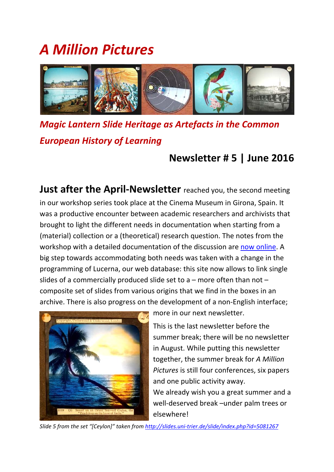# *A Million Pictures*



*Magic Lantern Slide Heritage as Artefacts in the Common European History of Learning*

## **Newsletter # 5 | June 2016**

**Just after the April‐Newsletter** reached you, the second meeting in our workshop series took place at the Cinema Museum in Girona, Spain. It was a productive encounter between academic researchers and archivists that brought to light the different needs in documentation when starting from a (material) collection or a (theoretical) research question. The notes from the workshop with a detailed documentation of the discussion are now online. A big step towards accommodating both needs was taken with a change in the programming of Lucerna, our web database: this site now allows to link single slides of a commercially produced slide set to a – more often than not – composite set of slides from various origins that we find in the boxes in an archive. There is also progress on the development of a non‐English interface;



more in our next newsletter.

This is the last newsletter before the summer break; there will be no newsletter in August. While putting this newsletter together, the summer break for *A Million Pictures* is still four conferences, six papers and one public activity away. We already wish you a great summer and a well-deserved break –under palm trees or elsewhere!

*Slide 5 from the set "[Ceylon]" taken from http://slides.uni‐trier.de/slide/index.php?id=5081267*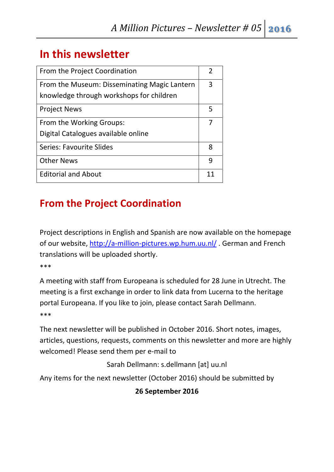## **In this newsletter**

| From the Project Coordination                                                            | 2  |
|------------------------------------------------------------------------------------------|----|
| From the Museum: Disseminating Magic Lantern<br>knowledge through workshops for children | 3  |
| <b>Project News</b>                                                                      | 5  |
| From the Working Groups:                                                                 |    |
| Digital Catalogues available online                                                      |    |
| <b>Series: Favourite Slides</b>                                                          | 8  |
| <b>Other News</b>                                                                        | 9  |
| <b>Editorial and About</b>                                                               | 11 |

## **From the Project Coordination**

Project descriptions in English and Spanish are now available on the homepage of our website, http://a‐million‐pictures.wp.hum.uu.nl/ . German and French translations will be uploaded shortly.

\*\*\*

A meeting with staff from Europeana is scheduled for 28 June in Utrecht. The meeting is a first exchange in order to link data from Lucerna to the heritage portal Europeana. If you like to join, please contact Sarah Dellmann. \*\*\*

The next newsletter will be published in October 2016. Short notes, images, articles, questions, requests, comments on this newsletter and more are highly welcomed! Please send them per e‐mail to

Sarah Dellmann: s.dellmann [at] uu.nl

Any items for the next newsletter (October 2016) should be submitted by

#### **26 September 2016**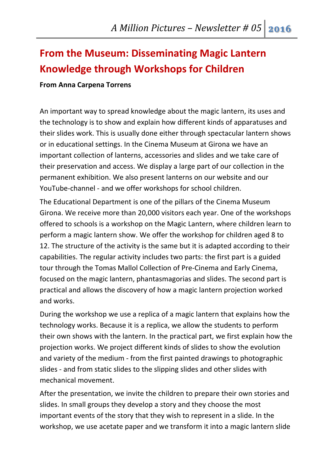## **From the Museum: Disseminating Magic Lantern Knowledge through Workshops for Children**

#### **From Anna Carpena Torrens**

An important way to spread knowledge about the magic lantern, its uses and the technology is to show and explain how different kinds of apparatuses and their slides work. This is usually done either through spectacular lantern shows or in educational settings. In the Cinema Museum at Girona we have an important collection of lanterns, accessories and slides and we take care of their preservation and access. We display a large part of our collection in the permanent exhibition. We also present lanterns on our website and our YouTube‐channel ‐ and we offer workshops for school children.

The Educational Department is one of the pillars of the Cinema Museum Girona. We receive more than 20,000 visitors each year. One of the workshops offered to schools is a workshop on the Magic Lantern, where children learn to perform a magic lantern show. We offer the workshop for children aged 8 to 12. The structure of the activity is the same but it is adapted according to their capabilities. The regular activity includes two parts: the first part is a guided tour through the Tomas Mallol Collection of Pre‐Cinema and Early Cinema, focused on the magic lantern, phantasmagorias and slides. The second part is practical and allows the discovery of how a magic lantern projection worked and works.

During the workshop we use a replica of a magic lantern that explains how the technology works. Because it is a replica, we allow the students to perform their own shows with the lantern. In the practical part, we first explain how the projection works. We project different kinds of slides to show the evolution and variety of the medium ‐ from the first painted drawings to photographic slides ‐ and from static slides to the slipping slides and other slides with mechanical movement.

After the presentation, we invite the children to prepare their own stories and slides. In small groups they develop a story and they choose the most important events of the story that they wish to represent in a slide. In the workshop, we use acetate paper and we transform it into a magic lantern slide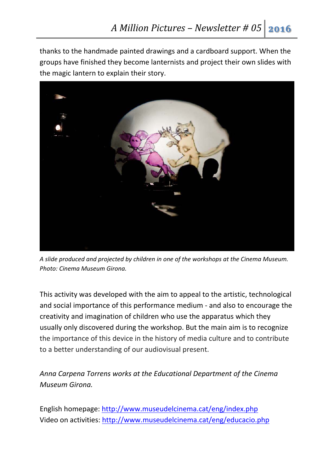thanks to the handmade painted drawings and a cardboard support. When the groups have finished they become lanternists and project their own slides with the magic lantern to explain their story.



*A slide produced and projected by children in one of the workshops at the Cinema Museum. Photo: Cinema Museum Girona.*

This activity was developed with the aim to appeal to the artistic, technological and social importance of this performance medium ‐ and also to encourage the creativity and imagination of children who use the apparatus which they usually only discovered during the workshop. But the main aim is to recognize the importance of this device in the history of media culture and to contribute to a better understanding of our audiovisual present.

*Anna Carpena Torrens works at the Educational Department of the Cinema Museum Girona.*

English homepage: http://www.museudelcinema.cat/eng/index.php Video on activities: http://www.museudelcinema.cat/eng/educacio.php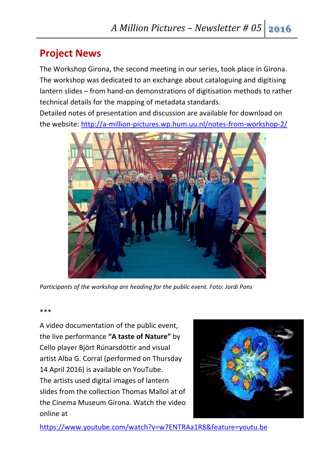### **Project News**

The Workshop Girona, the second meeting in our series, took place in Girona. The workshop was dedicated to an exchange about cataloguing and digitising lantern slides – from hand‐on demonstrations of digitisation methods to rather technical details for the mapping of metadata standards.

Detailed notes of presentation and discussion are available for download on the website: http://a‐million‐pictures.wp.hum.uu.nl/notes‐from‐workshop‐2/



*Participants of the workshop are heading for the public event. Foto: Jordi Pons* 

\*\*\*

A video documentation of the public event, the live performance **"A taste of Nature"** by Cello player Björt Rúnarsdöttir and visual artist Alba G. Corral (performed on Thursday 14 April 2016) is available on YouTube. The artists used digital images of lantern slides from the collection Thomas Mallol at of the Cinema Museum Girona. Watch the video online at



https://www.youtube.com/watch?v=w7ENTRAa1R8&feature=youtu.be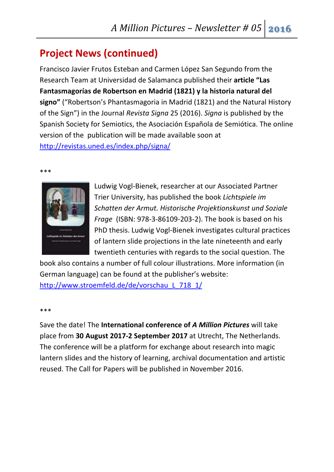## **Project News (continued)**

Francisco Javier Frutos Esteban and Carmen López San Segundo from the Research Team at Universidad de Salamanca published their **article "Las Fantasmagorías de Robertson en Madrid (1821) y la historia natural del signo"** ("Robertson's Phantasmagoria in Madrid (1821) and the Natural History of the Sign") in the Journal *Revista Signa* 25 (2016). *Signa* is published by the Spanish Society for Semiotics, the Asociación Española de Semiótica. The online version of the publication will be made available soon at http://revistas.uned.es/index.php/signa/

\*\*\*



Ludwig Vogl‐Bienek, researcher at our Associated Partner Trier University, has published the book *Lichtspiele im Schatten der Armut. Historische Projektionskunst und Soziale Frage* (ISBN: 978‐3‐86109‐203‐2). The book is based on his PhD thesis. Ludwig Vogl‐Bienek investigates cultural practices of lantern slide projections in the late nineteenth and early twentieth centuries with regards to the social question. The

book also contains a number of full colour illustrations. More information (in German language) can be found at the publisher's website: http://www.stroemfeld.de/de/vorschau\_L\_718\_1/

\*\*\*

Save the date! The **International conference of** *A Million Pictures* will take place from **30 August 2017‐2 September 2017** at Utrecht, The Netherlands. The conference will be a platform for exchange about research into magic lantern slides and the history of learning, archival documentation and artistic reused. The Call for Papers will be published in November 2016.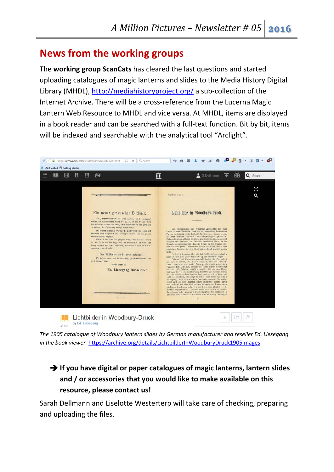### **News from the working groups**

The **working group ScanCats** has cleared the last questions and started uploading catalogues of magic lanterns and slides to the Media History Digital Library (MHDL), http://mediahistoryproject.org/ a sub‐collection of the Internet Archive. There will be a cross‐reference from the Lucerna Magic Lantern Web Resource to MHDL and vice versa. At MHDL, items are displayed in a book reader and can be searched with a full‐text function. Bit by bit, items will be indexed and searchable with the analytical tool "Arclight".



*The 1905 catalogue of Woodbury lantern slides by German manufacturer and reseller Ed. Liesegang in the book viewer.* https://archive.org/details/LichtbilderInWoodburyDruck1905Images

#### **If you have digital or paper catalogues of magic lanterns, lantern slides and / or accessories that you would like to make available on this resource, please contact us!**

Sarah Dellmann and Liselotte Westerterp will take care of checking, preparing and uploading the files.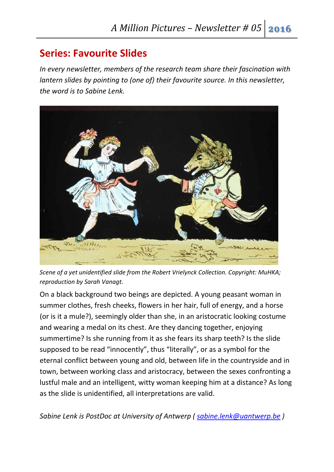### **Series: Favourite Slides**

*In every newsletter, members of the research team share their fascination with lantern slides by pointing to (one of) their favourite source. In this newsletter, the word is to Sabine Lenk.*



*Scene of a yet unidentified slide from the Robert Vrielynck Collection. Copyright: MuHKA; reproduction by Sarah Vanagt.*

On a black background two beings are depicted. A young peasant woman in summer clothes, fresh cheeks, flowers in her hair, full of energy, and a horse (or is it a mule?), seemingly older than she, in an aristocratic looking costume and wearing a medal on its chest. Are they dancing together, enjoying summertime? Is she running from it as she fears its sharp teeth? Is the slide supposed to be read "innocently", thus "literally", or as a symbol for the eternal conflict between young and old, between life in the countryside and in town, between working class and aristocracy, between the sexes confronting a lustful male and an intelligent, witty woman keeping him at a distance? As long as the slide is unidentified, all interpretations are valid.

*Sabine Lenk is PostDoc at University of Antwerp ( sabine.lenk@uantwerp.be )*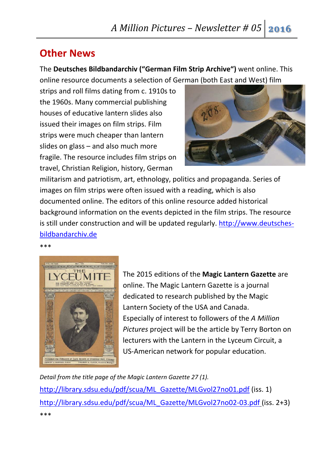### **Other News**

The **Deutsches Bildbandarchiv ("German Film Strip Archive")** went online. This online resource documents a selection of German (both East and West) film

strips and roll films dating from c. 1910s to the 1960s. Many commercial publishing houses of educative lantern slides also issued their images on film strips. Film strips were much cheaper than lantern slides on glass – and also much more fragile. The resource includes film strips on travel, Christian Religion, history, German



militarism and patriotism, art, ethnology, politics and propaganda. Series of images on film strips were often issued with a reading, which is also documented online. The editors of this online resource added historical background information on the events depicted in the film strips. The resource is still under construction and will be updated regularly. http://www.deutsches‐ bildbandarchiv.de

#### \*\*\*



The 2015 editions of the **Magic Lantern Gazette** are online. The Magic Lantern Gazette is a journal dedicated to research published by the Magic Lantern Society of the USA and Canada. Especially of interest to followers of the *A Million Pictures* project will be the article by Terry Borton on lecturers with the Lantern in the Lyceum Circuit, a US‐American network for popular education.

*Detail from the title page of the Magic Lantern Gazette 27 (1).*

http://library.sdsu.edu/pdf/scua/ML\_Gazette/MLGvol27no01.pdf (iss. 1) http://library.sdsu.edu/pdf/scua/ML\_Gazette/MLGvol27no02-03.pdf (iss. 2+3) \*\*\*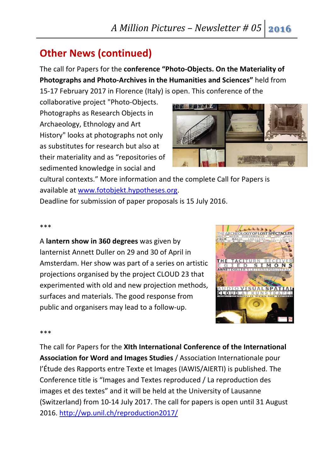### **Other News (continued)**

The call for Papers for the **conference "Photo‐Objects. On the Materiality of Photographs and Photo‐Archives in the Humanities and Sciences"** held from 15‐17 February 2017 in Florence (Italy) is open. This conference of the

collaborative project "Photo‐Objects. Photographs as Research Objects in Archaeology, Ethnology and Art History" looks at photographs not only as substitutes for research but also at their materiality and as "repositories of sedimented knowledge in social and



cultural contexts." More information and the complete Call for Papers is available at www.fotobjekt.hypotheses.org.

Deadline for submission of paper proposals is 15 July 2016.

#### \*\*\*

A **lantern show in 360 degrees** was given by lanternist Annett Duller on 29 and 30 of April in Amsterdam. Her show was part of a series on artistic projections organised by the project CLOUD 23 that experimented with old and new projection methods, surfaces and materials. The good response from public and organisers may lead to a follow‐up.



#### \*\*\*

The call for Papers for the **XIth International Conference of the International Association for Word and Images Studies** / Association Internationale pour l'Étude des Rapports entre Texte et Images (IAWIS/AIERTI) is published. The Conference title is "Images and Textes reproduced / La reproduction des images et des textes" and it will be held at the University of Lausanne (Switzerland) from 10‐14 July 2017. The call for papers is open until 31 August 2016. http://wp.unil.ch/reproduction2017/